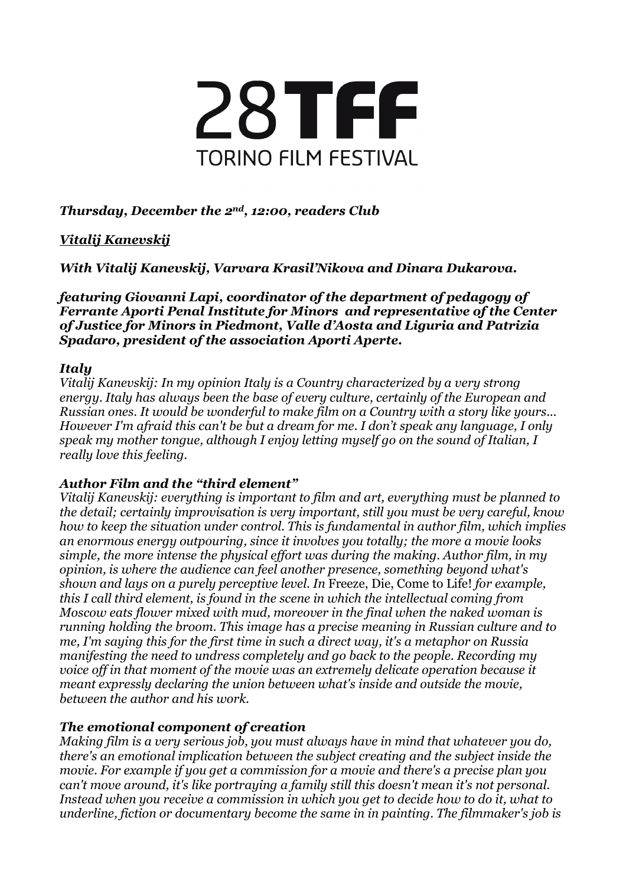

# *Thursday, December the 2nd, 12:00, readers Club*

# *Vitalij Kanevskij*

*With Vitalij Kanevskij, Varvara Krasil'Nikova and Dinara Dukarova.*

*featuring Giovanni Lapi, coordinator of the department of pedagogy of Ferrante Aporti Penal Institute for Minors and representative of the Center of Justice for Minors in Piedmont, Valle d'Aosta and Liguria and Patrizia Spadaro, president of the association Aporti Aperte.*

## *Italy*

*Vitalij Kanevskij: In my opinion Italy is a Country characterized by a very strong energy. Italy has always been the base of every culture, certainly of the European and Russian ones. It would be wonderful to make film on a Country with a story like yours... However I'm afraid this can't be but a dream for me. I don't speak any language, I only speak my mother tongue, although I enjoy letting myself go on the sound of Italian, I really love this feeling.*

## *Author Film and the "third element"*

*Vitalij Kanevskij: everything is important to film and art, everything must be planned to the detail; certainly improvisation is very important, still you must be very careful, know how to keep the situation under control. This is fundamental in author film, which implies an enormous energy outpouring, since it involves you totally; the more a movie looks simple, the more intense the physical effort was during the making. Author film, in my opinion, is where the audience can feel another presence, something beyond what's shown and lays on a purely perceptive level. In* Freeze, Die, Come to Life! *for example, this I call third element, is found in the scene in which the intellectual coming from Moscow eats flower mixed with mud, moreover in the final when the naked woman is running holding the broom. This image has a precise meaning in Russian culture and to me, I'm saying this for the first time in such a direct way, it's a metaphor on Russia manifesting the need to undress completely and go back to the people. Recording my voice off in that moment of the movie was an extremely delicate operation because it meant expressly declaring the union between what's inside and outside the movie, between the author and his work.*

## *The emotional component of creation*

*Making film is a very serious job, you must always have in mind that whatever you do, there's an emotional implication between the subject creating and the subject inside the movie. For example if you get a commission for a movie and there's a precise plan you can't move around, it's like portraying a family still this doesn't mean it's not personal. Instead when you receive a commission in which you get to decide how to do it, what to underline, fiction or documentary become the same in in painting. The filmmaker's job is*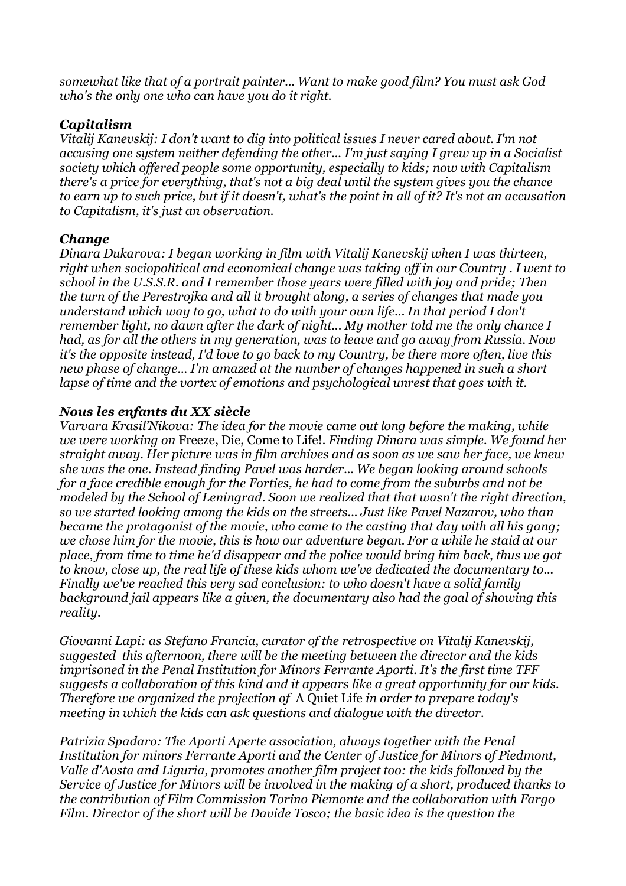*somewhat like that of a portrait painter... Want to make good film? You must ask God who's the only one who can have you do it right.*

## *Capitalism*

*Vitalij Kanevskij: I don't want to dig into political issues I never cared about. I'm not accusing one system neither defending the other... I'm just saying I grew up in a Socialist society which offered people some opportunity, especially to kids; now with Capitalism there's a price for everything, that's not a big deal until the system gives you the chance* to earn up to such price, but if it doesn't, what's the point in all of it? It's not an accusation *to Capitalism, it's just an observation.*

### *Change*

*Dinara Dukarova: I began working in film with Vitalij Kanevskij when I was thirteen, right when sociopolitical and economical change was taking off in our Country . I went to school in the U.S.S.R. and I remember those years were filled with joy and pride; Then the turn of the Perestrojka and all it brought along, a series of changes that made you understand which way to go, what to do with your own life... In that period I don't remember light, no dawn after the dark of night... My mother told me the only chance I had, as for all the others in my generation, was to leave and go away from Russia. Now it's the opposite instead, I'd love to go back to my Country, be there more often, live this new phase of change... I'm amazed at the number of changes happened in such a short lapse of time and the vortex of emotions and psychological unrest that goes with it.*

## *Nous les enfants du XX siècle*

*Varvara Krasil'Nikova: The idea for the movie came out long before the making, while we were working on* Freeze, Die, Come to Life!*. Finding Dinara was simple. We found her straight away. Her picture was in film archives and as soon as we saw her face, we knew she was the one. Instead finding Pavel was harder... We began looking around schools for a face credible enough for the Forties, he had to come from the suburbs and not be modeled by the School of Leningrad. Soon we realized that that wasn't the right direction, so we started looking among the kids on the streets... Just like Pavel Nazarov, who than became the protagonist of the movie, who came to the casting that day with all his gang; we chose him for the movie, this is how our adventure began. For a while he staid at our place, from time to time he'd disappear and the police would bring him back, thus we got to know, close up, the real life of these kids whom we've dedicated the documentary to... Finally we've reached this very sad conclusion: to who doesn't have a solid family background jail appears like a given, the documentary also had the goal of showing this reality.*

*Giovanni Lapi: as Stefano Francia, curator of the retrospective on Vitalij Kanevskij, suggested this afternoon, there will be the meeting between the director and the kids imprisoned in the Penal Institution for Minors Ferrante Aporti. It's the first time TFF suggests a collaboration of this kind and it appears like a great opportunity for our kids. Therefore we organized the projection of* A Quiet Life *in order to prepare today's meeting in which the kids can ask questions and dialogue with the director.*

*Patrizia Spadaro: The Aporti Aperte association, always together with the Penal Institution for minors Ferrante Aporti and the Center of Justice for Minors of Piedmont, Valle d'Aosta and Liguria, promotes another film project too: the kids followed by the Service of Justice for Minors will be involved in the making of a short, produced thanks to the contribution of Film Commission Torino Piemonte and the collaboration with Fargo Film. Director of the short will be Davide Tosco; the basic idea is the question the*